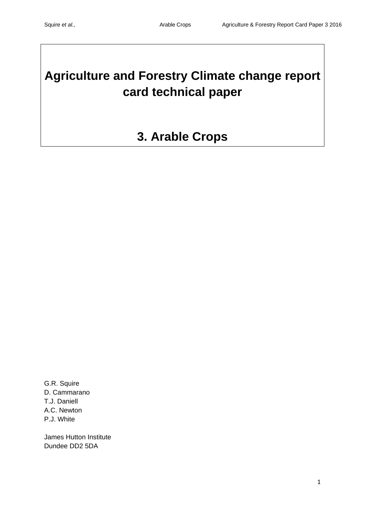# **Agriculture and Forestry Climate change report card technical paper**

# **3. Arable Crops**

G.R. Squire D. Cammarano T.J. Daniell A.C. Newton P.J. White

James Hutton Institute Dundee DD2 5DA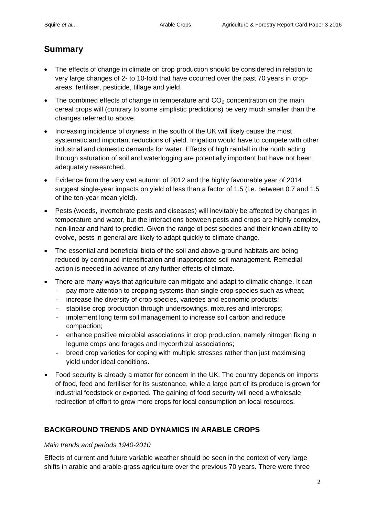# **Summary**

- The effects of change in climate on crop production should be considered in relation to very large changes of 2- to 10-fold that have occurred over the past 70 years in cropareas, fertiliser, pesticide, tillage and yield.
- The combined effects of change in temperature and  $CO<sub>2</sub>$  concentration on the main cereal crops will (contrary to some simplistic predictions) be very much smaller than the changes referred to above.
- Increasing incidence of dryness in the south of the UK will likely cause the most systematic and important reductions of yield. Irrigation would have to compete with other industrial and domestic demands for water. Effects of high rainfall in the north acting through saturation of soil and waterlogging are potentially important but have not been adequately researched.
- Evidence from the very wet autumn of 2012 and the highly favourable year of 2014 suggest single-year impacts on yield of less than a factor of 1.5 (i.e. between 0.7 and 1.5 of the ten-year mean yield).
- Pests (weeds, invertebrate pests and diseases) will inevitably be affected by changes in temperature and water, but the interactions between pests and crops are highly complex, non-linear and hard to predict. Given the range of pest species and their known ability to evolve, pests in general are likely to adapt quickly to climate change.
- The essential and beneficial biota of the soil and above-ground habitats are being reduced by continued intensification and inappropriate soil management. Remedial action is needed in advance of any further effects of climate.
- There are many ways that agriculture can mitigate and adapt to climatic change. It can
	- pay more attention to cropping systems than single crop species such as wheat;
	- increase the diversity of crop species, varieties and economic products;
	- stabilise crop production through undersowings, mixtures and intercrops;
	- implement long term soil management to increase soil carbon and reduce compaction;
	- enhance positive microbial associations in crop production, namely nitrogen fixing in legume crops and forages and mycorrhizal associations;
	- breed crop varieties for coping with multiple stresses rather than just maximising yield under ideal conditions.
- Food security is already a matter for concern in the UK. The country depends on imports of food, feed and fertiliser for its sustenance, while a large part of its produce is grown for industrial feedstock or exported. The gaining of food security will need a wholesale redirection of effort to grow more crops for local consumption on local resources.

# **BACKGROUND TRENDS AND DYNAMICS IN ARABLE CROPS**

#### *Main trends and periods 1940-2010*

Effects of current and future variable weather should be seen in the context of very large shifts in arable and arable-grass agriculture over the previous 70 years. There were three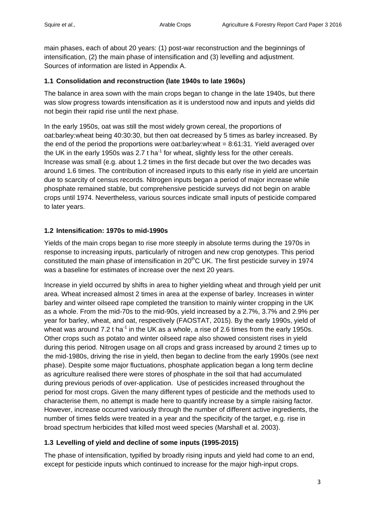main phases, each of about 20 years: (1) post-war reconstruction and the beginnings of intensification, (2) the main phase of intensification and (3) levelling and adjustment. Sources of information are listed in Appendix A.

### **1.1 Consolidation and reconstruction (late 1940s to late 1960s)**

The balance in area sown with the main crops began to change in the late 1940s, but there was slow progress towards intensification as it is understood now and inputs and yields did not begin their rapid rise until the next phase.

In the early 1950s, oat was still the most widely grown cereal, the proportions of oat:barley:wheat being 40:30:30, but then oat decreased by 5 times as barley increased. By the end of the period the proportions were oat:barley:wheat = 8:61:31. Yield averaged over the UK in the early 1950s was 2.7 t ha<sup>-1</sup> for wheat, slightly less for the other cereals. Increase was small (e.g. about 1.2 times in the first decade but over the two decades was around 1.6 times. The contribution of increased inputs to this early rise in yield are uncertain due to scarcity of census records. Nitrogen inputs began a period of major increase while phosphate remained stable, but comprehensive pesticide surveys did not begin on arable crops until 1974. Nevertheless, various sources indicate small inputs of pesticide compared to later years.

# **1.2 Intensification: 1970s to mid-1990s**

Yields of the main crops began to rise more steeply in absolute terms during the 1970s in response to increasing inputs, particularly of nitrogen and new crop genotypes. This period constituted the main phase of intensification in  $20<sup>th</sup>C$  UK. The first pesticide survey in 1974 was a baseline for estimates of increase over the next 20 years.

Increase in yield occurred by shifts in area to higher yielding wheat and through yield per unit area. Wheat increased almost 2 times in area at the expense of barley. Increases in winter barley and winter oilseed rape completed the transition to mainly winter cropping in the UK as a whole. From the mid-70s to the mid-90s, yield increased by a 2.7%, 3.7% and 2.9% per year for barley, wheat, and oat, respectively (FAOSTAT, 2015). By the early 1990s, yield of wheat was around 7.2 t ha<sup>-1</sup> in the UK as a whole, a rise of 2.6 times from the early 1950s. Other crops such as potato and winter oilseed rape also showed consistent rises in yield during this period. Nitrogen usage on all crops and grass increased by around 2 times up to the mid-1980s, driving the rise in yield, then began to decline from the early 1990s (see next phase). Despite some major fluctuations, phosphate application began a long term decline as agriculture realised there were stores of phosphate in the soil that had accumulated during previous periods of over-application. Use of pesticides increased throughout the period for most crops. Given the many different types of pesticide and the methods used to characterise them, no attempt is made here to quantify increase by a simple raising factor. However, increase occurred variously through the number of different active ingredients, the number of times fields were treated in a year and the specificity of the target, e.g. rise in broad spectrum herbicides that killed most weed species (Marshall et al. 2003).

# **1.3 Levelling of yield and decline of some inputs (1995-2015)**

The phase of intensification, typified by broadly rising inputs and yield had come to an end, except for pesticide inputs which continued to increase for the major high-input crops.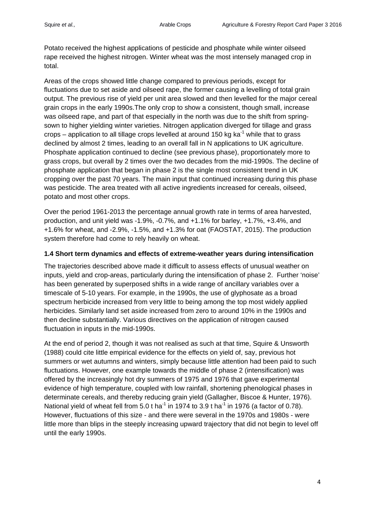Potato received the highest applications of pesticide and phosphate while winter oilseed rape received the highest nitrogen. Winter wheat was the most intensely managed crop in total.

Areas of the crops showed little change compared to previous periods, except for fluctuations due to set aside and oilseed rape, the former causing a levelling of total grain output. The previous rise of yield per unit area slowed and then levelled for the major cereal grain crops in the early 1990s.The only crop to show a consistent, though small, increase was oilseed rape, and part of that especially in the north was due to the shift from springsown to higher yielding winter varieties. Nitrogen application diverged for tillage and grass crops – application to all tillage crops levelled at around 150 kg ka<sup>-1</sup> while that to grass declined by almost 2 times, leading to an overall fall in N applications to UK agriculture. Phosphate application continued to decline (see previous phase), proportionately more to grass crops, but overall by 2 times over the two decades from the mid-1990s. The decline of phosphate application that began in phase 2 is the single most consistent trend in UK cropping over the past 70 years. The main input that continued increasing during this phase was pesticide. The area treated with all active ingredients increased for cereals, oilseed, potato and most other crops.

Over the period 1961-2013 the percentage annual growth rate in terms of area harvested, production, and unit yield was -1.9%, -0.7%, and +1.1% for barley, +1.7%, +3.4%, and +1.6% for wheat, and -2.9%, -1.5%, and +1.3% for oat (FAOSTAT, 2015). The production system therefore had come to rely heavily on wheat.

#### **1.4 Short term dynamics and effects of extreme-weather years during intensification**

The trajectories described above made it difficult to assess effects of unusual weather on inputs, yield and crop-areas, particularly during the intensification of phase 2. Further 'noise' has been generated by superposed shifts in a wide range of ancillary variables over a timescale of 5-10 years. For example, in the 1990s, the use of glyphosate as a broad spectrum herbicide increased from very little to being among the top most widely applied herbicides. Similarly land set aside increased from zero to around 10% in the 1990s and then decline substantially. Various directives on the application of nitrogen caused fluctuation in inputs in the mid-1990s.

At the end of period 2, though it was not realised as such at that time, Squire & Unsworth (1988) could cite little empirical evidence for the effects on yield of, say, previous hot summers or wet autumns and winters, simply because little attention had been paid to such fluctuations. However, one example towards the middle of phase 2 (intensification) was offered by the increasingly hot dry summers of 1975 and 1976 that gave experimental evidence of high temperature, coupled with low rainfall, shortening phenological phases in determinate cereals, and thereby reducing grain yield (Gallagher, Biscoe & Hunter, 1976). National yield of wheat fell from 5.0 t ha<sup>-1</sup> in 1974 to 3.9 t ha<sup>-1</sup> in 1976 (a factor of 0.78). However, fluctuations of this size - and there were several in the 1970s and 1980s - were little more than blips in the steeply increasing upward trajectory that did not begin to level off until the early 1990s.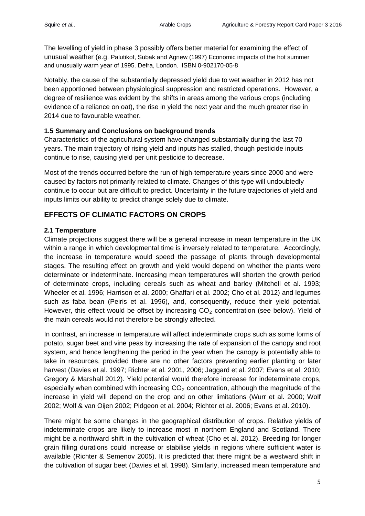The levelling of yield in phase 3 possibly offers better material for examining the effect of unusual weather (e.g. Palutikof, Subak and Agnew (1997) Economic impacts of the hot summer and unusually warm year of 1995. Defra, London. ISBN 0-902170-05-8

Notably, the cause of the substantially depressed yield due to wet weather in 2012 has not been apportioned between physiological suppression and restricted operations. However, a degree of resilience was evident by the shifts in areas among the various crops (including evidence of a reliance on oat), the rise in yield the next year and the much greater rise in 2014 due to favourable weather.

#### **1.5 Summary and Conclusions on background trends**

Characteristics of the agricultural system have changed substantially during the last 70 years. The main trajectory of rising yield and inputs has stalled, though pesticide inputs continue to rise, causing yield per unit pesticide to decrease.

Most of the trends occurred before the run of high-temperature years since 2000 and were caused by factors not primarily related to climate. Changes of this type will undoubtedly continue to occur but are difficult to predict. Uncertainty in the future trajectories of yield and inputs limits our ability to predict change solely due to climate.

# **EFFECTS OF CLIMATIC FACTORS ON CROPS**

### **2.1 Temperature**

Climate projections suggest there will be a general increase in mean temperature in the UK within a range in which developmental time is inversely related to temperature. Accordingly, the increase in temperature would speed the passage of plants through developmental stages. The resulting effect on growth and yield would depend on whether the plants were determinate or indeterminate. Increasing mean temperatures will shorten the growth period of determinate crops, including cereals such as wheat and barley (Mitchell et al. 1993; Wheeler et al. 1996; Harrison et al. 2000; Ghaffari et al. 2002; Cho et al. 2012) and legumes such as faba bean (Peiris et al. 1996), and, consequently, reduce their yield potential. However, this effect would be offset by increasing  $CO<sub>2</sub>$  concentration (see below). Yield of the main cereals would not therefore be strongly affected.

In contrast, an increase in temperature will affect indeterminate crops such as some forms of potato, sugar beet and vine peas by increasing the rate of expansion of the canopy and root system, and hence lengthening the period in the year when the canopy is potentially able to take in resources, provided there are no other factors preventing earlier planting or later harvest (Davies et al. 1997; Richter et al. 2001, 2006; Jaggard et al. 2007; Evans et al. 2010; Gregory & Marshall 2012). Yield potential would therefore increase for indeterminate crops, especially when combined with increasing  $CO<sub>2</sub>$  concentration, although the magnitude of the increase in yield will depend on the crop and on other limitations (Wurr et al. 2000; Wolf 2002; Wolf & van Oijen 2002; Pidgeon et al. 2004; Richter et al. 2006; Evans et al. 2010).

There might be some changes in the geographical distribution of crops. Relative yields of indeterminate crops are likely to increase most in northern England and Scotland. There might be a northward shift in the cultivation of wheat (Cho et al. 2012). Breeding for longer grain filling durations could increase or stabilise yields in regions where sufficient water is available (Richter & Semenov 2005). It is predicted that there might be a westward shift in the cultivation of sugar beet (Davies et al. 1998). Similarly, increased mean temperature and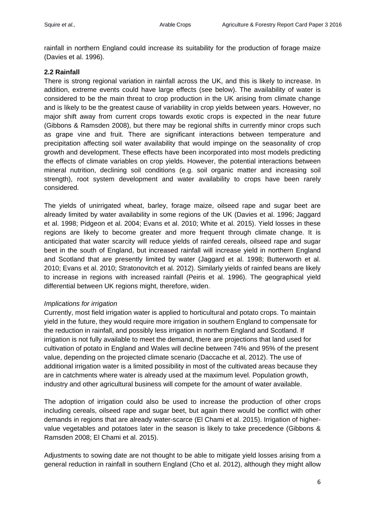rainfall in northern England could increase its suitability for the production of forage maize (Davies et al. 1996).

#### **2.2 Rainfall**

There is strong regional variation in rainfall across the UK, and this is likely to increase. In addition, extreme events could have large effects (see below). The availability of water is considered to be the main threat to crop production in the UK arising from climate change and is likely to be the greatest cause of variability in crop yields between years. However, no major shift away from current crops towards exotic crops is expected in the near future (Gibbons & Ramsden 2008), but there may be regional shifts in currently minor crops such as grape vine and fruit. There are significant interactions between temperature and precipitation affecting soil water availability that would impinge on the seasonality of crop growth and development. These effects have been incorporated into most models predicting the effects of climate variables on crop yields. However, the potential interactions between mineral nutrition, declining soil conditions (e.g. soil organic matter and increasing soil strength), root system development and water availability to crops have been rarely considered.

The yields of unirrigated wheat, barley, forage maize, oilseed rape and sugar beet are already limited by water availability in some regions of the UK (Davies et al. 1996; Jaggard et al. 1998; Pidgeon et al. 2004; Evans et al. 2010; White et al. 2015). Yield losses in these regions are likely to become greater and more frequent through climate change. It is anticipated that water scarcity will reduce yields of rainfed cereals, oilseed rape and sugar beet in the south of England, but increased rainfall will increase yield in northern England and Scotland that are presently limited by water (Jaggard et al. 1998; Butterworth et al. 2010; Evans et al. 2010; Stratonovitch et al. 2012). Similarly yields of rainfed beans are likely to increase in regions with increased rainfall (Peiris et al. 1996). The geographical yield differential between UK regions might, therefore, widen.

#### *Implications for irrigation*

Currently, most field irrigation water is applied to horticultural and potato crops. To maintain yield in the future, they would require more irrigation in southern England to compensate for the reduction in rainfall, and possibly less irrigation in northern England and Scotland. If irrigation is not fully available to meet the demand, there are projections that land used for cultivation of potato in England and Wales will decline between 74% and 95% of the present value, depending on the projected climate scenario (Daccache et al, 2012). The use of additional irrigation water is a limited possibility in most of the cultivated areas because they are in catchments where water is already used at the maximum level. Population growth, industry and other agricultural business will compete for the amount of water available.

The adoption of irrigation could also be used to increase the production of other crops including cereals, oilseed rape and sugar beet, but again there would be conflict with other demands in regions that are already water-scarce (El Chami et al. 2015). Irrigation of highervalue vegetables and potatoes later in the season is likely to take precedence (Gibbons & Ramsden 2008; El Chami et al. 2015).

Adjustments to sowing date are not thought to be able to mitigate yield losses arising from a general reduction in rainfall in southern England (Cho et al. 2012), although they might allow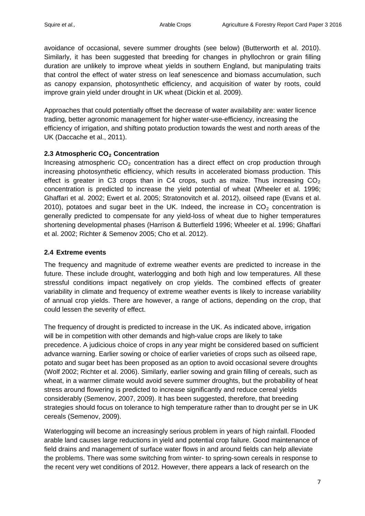avoidance of occasional, severe summer droughts (see below) (Butterworth et al. 2010). Similarly, it has been suggested that breeding for changes in phyllochron or grain filling duration are unlikely to improve wheat yields in southern England, but manipulating traits that control the effect of water stress on leaf senescence and biomass accumulation, such as canopy expansion, photosynthetic efficiency, and acquisition of water by roots, could improve grain yield under drought in UK wheat (Dickin et al. 2009).

Approaches that could potentially offset the decrease of water availability are: water licence trading, better agronomic management for higher water-use-efficiency, increasing the efficiency of irrigation, and shifting potato production towards the west and north areas of the UK (Daccache et al., 2011).

### **2.3 Atmospheric CO<sub>2</sub> Concentration**

Increasing atmospheric  $CO<sub>2</sub>$  concentration has a direct effect on crop production through increasing photosynthetic efficiency, which results in accelerated biomass production. This effect is greater in C3 crops than in C4 crops, such as maize. Thus increasing  $CO<sub>2</sub>$ concentration is predicted to increase the yield potential of wheat (Wheeler et al. 1996; Ghaffari et al. 2002; Ewert et al. 2005; Stratonovitch et al. 2012), oilseed rape (Evans et al. 2010), potatoes and sugar beet in the UK. Indeed, the increase in  $CO<sub>2</sub>$  concentration is generally predicted to compensate for any yield-loss of wheat due to higher temperatures shortening developmental phases (Harrison & Butterfield 1996; Wheeler et al. 1996; Ghaffari et al. 2002; Richter & Semenov 2005; Cho et al. 2012).

### **2.4 Extreme events**

The frequency and magnitude of extreme weather events are predicted to increase in the future. These include drought, waterlogging and both high and low temperatures. All these stressful conditions impact negatively on crop yields. The combined effects of greater variability in climate and frequency of extreme weather events is likely to increase variability of annual crop yields. There are however, a range of actions, depending on the crop, that could lessen the severity of effect.

The frequency of drought is predicted to increase in the UK. As indicated above, irrigation will be in competition with other demands and high-value crops are likely to take precedence. A judicious choice of crops in any year might be considered based on sufficient advance warning. Earlier sowing or choice of earlier varieties of crops such as oilseed rape, potato and sugar beet has been proposed as an option to avoid occasional severe droughts (Wolf 2002; Richter et al. 2006). Similarly, earlier sowing and grain filling of cereals, such as wheat, in a warmer climate would avoid severe summer droughts, but the probability of heat stress around flowering is predicted to increase significantly and reduce cereal yields considerably (Semenov, 2007, 2009). It has been suggested, therefore, that breeding strategies should focus on tolerance to high temperature rather than to drought per se in UK cereals (Semenov, 2009).

Waterlogging will become an increasingly serious problem in years of high rainfall. Flooded arable land causes large reductions in yield and potential crop failure. Good maintenance of field drains and management of surface water flows in and around fields can help alleviate the problems. There was some switching from winter- to spring-sown cereals in response to the recent very wet conditions of 2012. However, there appears a lack of research on the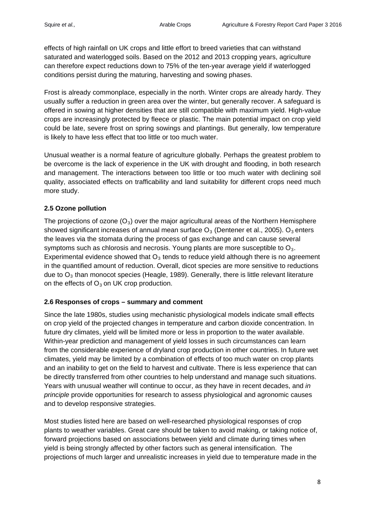effects of high rainfall on UK crops and little effort to breed varieties that can withstand saturated and waterlogged soils. Based on the 2012 and 2013 cropping years, agriculture can therefore expect reductions down to 75% of the ten-year average yield if waterlogged conditions persist during the maturing, harvesting and sowing phases.

Frost is already commonplace, especially in the north. Winter crops are already hardy. They usually suffer a reduction in green area over the winter, but generally recover. A safeguard is offered in sowing at higher densities that are still compatible with maximum yield. High-value crops are increasingly protected by fleece or plastic. The main potential impact on crop yield could be late, severe frost on spring sowings and plantings. But generally, low temperature is likely to have less effect that too little or too much water.

Unusual weather is a normal feature of agriculture globally. Perhaps the greatest problem to be overcome is the lack of experience in the UK with drought and flooding, in both research and management. The interactions between too little or too much water with declining soil quality, associated effects on trafficability and land suitability for different crops need much more study.

# **2.5 Ozone pollution**

The projections of ozone  $(O_3)$  over the major agricultural areas of the Northern Hemisphere showed significant increases of annual mean surface  $O_3$  (Dentener et al., 2005).  $O_3$  enters the leaves via the stomata during the process of gas exchange and can cause several symptoms such as chlorosis and necrosis. Young plants are more susceptible to  $O_3$ . Experimental evidence showed that  $O<sub>3</sub>$  tends to reduce yield although there is no agreement in the quantified amount of reduction. Overall, dicot species are more sensitive to reductions due to  $O_3$  than monocot species (Heagle, 1989). Generally, there is little relevant literature on the effects of  $O_3$  on UK crop production.

# **2.6 Responses of crops – summary and comment**

Since the late 1980s, studies using mechanistic physiological models indicate small effects on crop yield of the projected changes in temperature and carbon dioxide concentration. In future dry climates, yield will be limited more or less in proportion to the water available. Within-year prediction and management of yield losses in such circumstances can learn from the considerable experience of dryland crop production in other countries. In future wet climates, yield may be limited by a combination of effects of too much water on crop plants and an inability to get on the field to harvest and cultivate. There is less experience that can be directly transferred from other countries to help understand and manage such situations. Years with unusual weather will continue to occur, as they have in recent decades, and *in principle* provide opportunities for research to assess physiological and agronomic causes and to develop responsive strategies.

Most studies listed here are based on well-researched physiological responses of crop plants to weather variables. Great care should be taken to avoid making, or taking notice of, forward projections based on associations between yield and climate during times when yield is being strongly affected by other factors such as general intensification. The projections of much larger and unrealistic increases in yield due to temperature made in the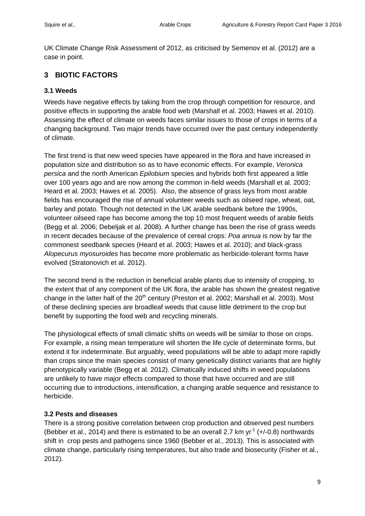UK Climate Change Risk Assessment of 2012, as criticised by Semenov et al. (2012) are a case in point.

# **3 BIOTIC FACTORS**

### **3.1 Weeds**

Weeds have negative effects by taking from the crop through competition for resource, and positive effects in supporting the arable food web (Marshall et al. 2003; Hawes et al. 2010). Assessing the effect of climate on weeds faces similar issues to those of crops in terms of a changing background. Two major trends have occurred over the past century independently of climate.

The first trend is that new weed species have appeared in the flora and have increased in population size and distribution so as to have economic effects. For example, *Veronica persica* and the north American *Epilobium* species and hybrids both first appeared a little over 100 years ago and are now among the common in-field weeds (Marshall et al. 2003; Heard et al. 2003; Hawes et al. 2005). Also, the absence of grass leys from most arable fields has encouraged the rise of annual volunteer weeds such as oilseed rape, wheat, oat, barley and potato. Though not detected in the UK arable seedbank before the 1990s, volunteer oilseed rape has become among the top 10 most frequent weeds of arable fields (Begg et al. 2006; Debeljak et al. 2008). A further change has been the rise of grass weeds in recent decades because of the prevalence of cereal crops: *Poa annua* is now by far the commonest seedbank species (Heard et al. 2003; Hawes et al. 2010); and black-grass *Alopecurus myosuroides* has become more problematic as herbicide-tolerant forms have evolved (Stratonovich et al. 2012).

The second trend is the reduction in beneficial arable plants due to intensity of cropping, to the extent that of any component of the UK flora, the arable has shown the greatest negative change in the latter half of the  $20<sup>th</sup>$  century (Preston et al. 2002; Marshall et al. 2003). Most of these declining species are broadleaf weeds that cause little detriment to the crop but benefit by supporting the food web and recycling minerals.

The physiological effects of small climatic shifts on weeds will be similar to those on crops. For example, a rising mean temperature will shorten the life cycle of determinate forms, but extend it for indeterminate. But arguably, weed populations will be able to adapt more rapidly than crops since the main species consist of many genetically distinct variants that are highly phenotypically variable (Begg et al. 2012). Climatically induced shifts in weed populations are unlikely to have major effects compared to those that have occurred and are still occurring due to introductions, intensification, a changing arable sequence and resistance to herbicide.

#### **3.2 Pests and diseases**

There is a strong positive correlation between crop production and observed pest numbers (Bebber et al., 2014) and there is estimated to be an overall 2.7 km  $yr^{-1}$  (+/-0.8) northwards shift in crop pests and pathogens since 1960 (Bebber et al., 2013). This is associated with climate change, particularly rising temperatures, but also trade and biosecurity (Fisher et al., 2012).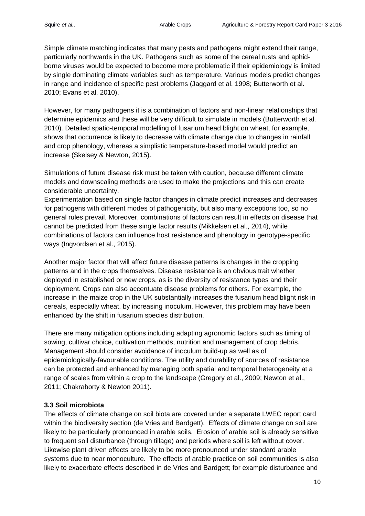Simple climate matching indicates that many pests and pathogens might extend their range, particularly northwards in the UK. Pathogens such as some of the cereal rusts and aphidborne viruses would be expected to become more problematic if their epidemiology is limited by single dominating climate variables such as temperature. Various models predict changes in range and incidence of specific pest problems (Jaggard et al. 1998; Butterworth et al. 2010; Evans et al. 2010).

However, for many pathogens it is a combination of factors and non-linear relationships that determine epidemics and these will be very difficult to simulate in models (Butterworth et al. 2010). Detailed spatio-temporal modelling of fusarium head blight on wheat, for example, shows that occurrence is likely to decrease with climate change due to changes in rainfall and crop phenology, whereas a simplistic temperature-based model would predict an increase (Skelsey & Newton, 2015).

Simulations of future disease risk must be taken with caution, because different climate models and downscaling methods are used to make the projections and this can create considerable uncertainty.

Experimentation based on single factor changes in climate predict increases and decreases for pathogens with different modes of pathogenicity, but also many exceptions too, so no general rules prevail. Moreover, combinations of factors can result in effects on disease that cannot be predicted from these single factor results (Mikkelsen et al., 2014), while combinations of factors can influence host resistance and phenology in genotype-specific ways (Ingvordsen et al., 2015).

Another major factor that will affect future disease patterns is changes in the cropping patterns and in the crops themselves. Disease resistance is an obvious trait whether deployed in established or new crops, as is the diversity of resistance types and their deployment. Crops can also accentuate disease problems for others. For example, the increase in the maize crop in the UK substantially increases the fusarium head blight risk in cereals, especially wheat, by increasing inoculum. However, this problem may have been enhanced by the shift in fusarium species distribution.

There are many mitigation options including adapting agronomic factors such as timing of sowing, cultivar choice, cultivation methods, nutrition and management of crop debris. Management should consider avoidance of inoculum build-up as well as of epidemiologically-favourable conditions. The utility and durability of sources of resistance can be protected and enhanced by managing both spatial and temporal heterogeneity at a range of scales from within a crop to the landscape (Gregory et al., 2009; Newton et al., 2011; Chakraborty & Newton 2011).

# **3.3 Soil microbiota**

The effects of climate change on soil biota are covered under a separate LWEC report card within the biodiversity section (de Vries and Bardgett). Effects of climate change on soil are likely to be particularly pronounced in arable soils. Erosion of arable soil is already sensitive to frequent soil disturbance (through tillage) and periods where soil is left without cover. Likewise plant driven effects are likely to be more pronounced under standard arable systems due to near monoculture. The effects of arable practice on soil communities is also likely to exacerbate effects described in de Vries and Bardgett; for example disturbance and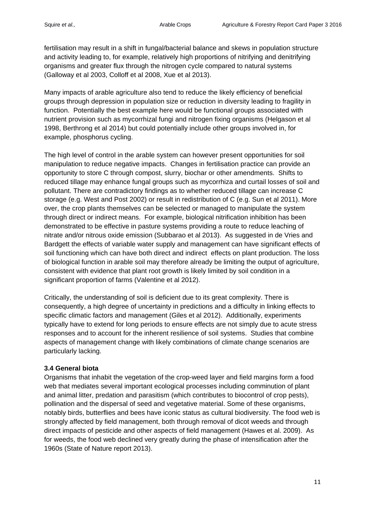fertilisation may result in a shift in fungal/bacterial balance and skews in population structure and activity leading to, for example, relatively high proportions of nitrifying and denitrifying organisms and greater flux through the nitrogen cycle compared to natural systems (Galloway et al 2003, Colloff et al 2008, Xue et al 2013).

Many impacts of arable agriculture also tend to reduce the likely efficiency of beneficial groups through depression in population size or reduction in diversity leading to fragility in function. Potentially the best example here would be functional groups associated with nutrient provision such as mycorrhizal fungi and nitrogen fixing organisms (Helgason et al 1998, Berthrong et al 2014) but could potentially include other groups involved in, for example, phosphorus cycling.

The high level of control in the arable system can however present opportunities for soil manipulation to reduce negative impacts. Changes in fertilisation practice can provide an opportunity to store C through compost, slurry, biochar or other amendments. Shifts to reduced tillage may enhance fungal groups such as mycorrhiza and curtail losses of soil and pollutant. There are contradictory findings as to whether reduced tillage can increase C storage (e.g. West and Post 2002) or result in redistribution of C (e.g. Sun et al 2011). More over, the crop plants themselves can be selected or managed to manipulate the system through direct or indirect means. For example, biological nitrification inhibition has been demonstrated to be effective in pasture systems providing a route to reduce leaching of nitrate and/or nitrous oxide emission (Subbarao et al 2013). As suggested in de Vries and Bardgett the effects of variable water supply and management can have significant effects of soil functioning which can have both direct and indirect effects on plant production. The loss of biological function in arable soil may therefore already be limiting the output of agriculture, consistent with evidence that plant root growth is likely limited by soil condition in a significant proportion of farms (Valentine et al 2012).

Critically, the understanding of soil is deficient due to its great complexity. There is consequently, a high degree of uncertainty in predictions and a difficulty in linking effects to specific climatic factors and management (Giles et al 2012). Additionally, experiments typically have to extend for long periods to ensure effects are not simply due to acute stress responses and to account for the inherent resilience of soil systems. Studies that combine aspects of management change with likely combinations of climate change scenarios are particularly lacking.

#### **3.4 General biota**

Organisms that inhabit the vegetation of the crop-weed layer and field margins form a food web that mediates several important ecological processes including comminution of plant and animal litter, predation and parasitism (which contributes to biocontrol of crop pests), pollination and the dispersal of seed and vegetative material. Some of these organisms, notably birds, butterflies and bees have iconic status as cultural biodiversity. The food web is strongly affected by field management, both through removal of dicot weeds and through direct impacts of pesticide and other aspects of field management (Hawes et al. 2009). As for weeds, the food web declined very greatly during the phase of intensification after the 1960s (State of Nature report 2013).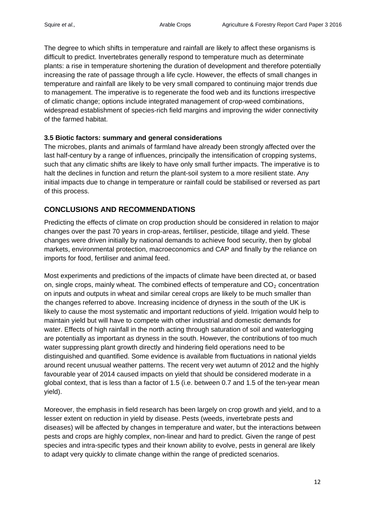The degree to which shifts in temperature and rainfall are likely to affect these organisms is difficult to predict. Invertebrates generally respond to temperature much as determinate plants: a rise in temperature shortening the duration of development and therefore potentially increasing the rate of passage through a life cycle. However, the effects of small changes in temperature and rainfall are likely to be very small compared to continuing major trends due to management. The imperative is to regenerate the food web and its functions irrespective of climatic change; options include integrated management of crop-weed combinations, widespread establishment of species-rich field margins and improving the wider connectivity of the farmed habitat.

#### **3.5 Biotic factors: summary and general considerations**

The microbes, plants and animals of farmland have already been strongly affected over the last half-century by a range of influences, principally the intensification of cropping systems, such that any climatic shifts are likely to have only small further impacts. The imperative is to halt the declines in function and return the plant-soil system to a more resilient state. Any initial impacts due to change in temperature or rainfall could be stabilised or reversed as part of this process.

# **CONCLUSIONS AND RECOMMENDATIONS**

Predicting the effects of climate on crop production should be considered in relation to major changes over the past 70 years in crop-areas, fertiliser, pesticide, tillage and yield. These changes were driven initially by national demands to achieve food security, then by global markets, environmental protection, macroeconomics and CAP and finally by the reliance on imports for food, fertiliser and animal feed.

Most experiments and predictions of the impacts of climate have been directed at, or based on, single crops, mainly wheat. The combined effects of temperature and  $CO<sub>2</sub>$  concentration on inputs and outputs in wheat and similar cereal crops are likely to be much smaller than the changes referred to above. Increasing incidence of dryness in the south of the UK is likely to cause the most systematic and important reductions of yield. Irrigation would help to maintain yield but will have to compete with other industrial and domestic demands for water. Effects of high rainfall in the north acting through saturation of soil and waterlogging are potentially as important as dryness in the south. However, the contributions of too much water suppressing plant growth directly and hindering field operations need to be distinguished and quantified. Some evidence is available from fluctuations in national yields around recent unusual weather patterns. The recent very wet autumn of 2012 and the highly favourable year of 2014 caused impacts on yield that should be considered moderate in a global context, that is less than a factor of 1.5 (i.e. between 0.7 and 1.5 of the ten-year mean yield).

Moreover, the emphasis in field research has been largely on crop growth and yield, and to a lesser extent on reduction in yield by disease. Pests (weeds, invertebrate pests and diseases) will be affected by changes in temperature and water, but the interactions between pests and crops are highly complex, non-linear and hard to predict. Given the range of pest species and intra-specific types and their known ability to evolve, pests in general are likely to adapt very quickly to climate change within the range of predicted scenarios.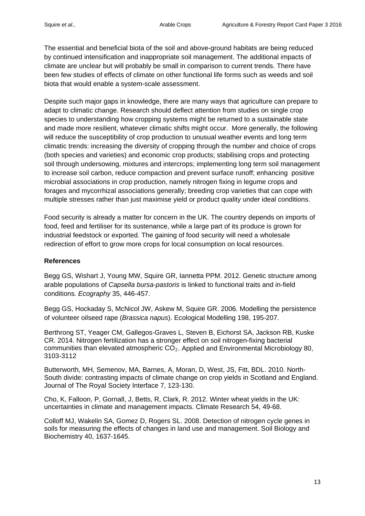The essential and beneficial biota of the soil and above-ground habitats are being reduced by continued intensification and inappropriate soil management. The additional impacts of climate are unclear but will probably be small in comparison to current trends. There have been few studies of effects of climate on other functional life forms such as weeds and soil biota that would enable a system-scale assessment.

Despite such major gaps in knowledge, there are many ways that agriculture can prepare to adapt to climatic change. Research should deflect attention from studies on single crop species to understanding how cropping systems might be returned to a sustainable state and made more resilient, whatever climatic shifts might occur. More generally, the following will reduce the susceptibility of crop production to unusual weather events and long term climatic trends: increasing the diversity of cropping through the number and choice of crops (both species and varieties) and economic crop products; stabilising crops and protecting soil through undersowing, mixtures and intercrops; implementing long term soil management to increase soil carbon, reduce compaction and prevent surface runoff; enhancing positive microbial associations in crop production, namely nitrogen fixing in legume crops and forages and mycorrhizal associations generally; breeding crop varieties that can cope with multiple stresses rather than just maximise yield or product quality under ideal conditions.

Food security is already a matter for concern in the UK. The country depends on imports of food, feed and fertiliser for its sustenance, while a large part of its produce is grown for industrial feedstock or exported. The gaining of food security will need a wholesale redirection of effort to grow more crops for local consumption on local resources.

#### **References**

Begg GS, Wishart J, Young MW, Squire GR, Iannetta PPM. 2012. Genetic structure among arable populations of *Capsella bursa-pastoris* is linked to functional traits and in-field conditions*. Ecography* 35, 446-457.

Begg GS, Hockaday S, McNicol JW, Askew M, Squire GR. 2006. Modelling the persistence of volunteer oilseed rape (*Brassica napus*). Ecological Modelling 198, 195-207.

Berthrong ST, Yeager CM, Gallegos-Graves L, Steven B, Eichorst SA, Jackson RB, Kuske CR. 2014. Nitrogen fertilization has a stronger effect on soil nitrogen-fixing bacterial communities than elevated atmospheric CO<sub>2</sub>. Applied and Environmental Microbiology 80, 3103-3112

Butterworth, MH, Semenov, MA, Barnes, A, Moran, D, West, JS, Fitt, BDL. 2010. North-South divide: contrasting impacts of climate change on crop yields in Scotland and England. Journal of The Royal Society Interface 7, 123-130.

Cho, K, Falloon, P, Gornall, J, Betts, R, Clark, R. 2012. Winter wheat yields in the UK: uncertainties in climate and management impacts. Climate Research 54, 49-68.

Colloff MJ, Wakelin SA, Gomez D, Rogers SL. 2008. Detection of nitrogen cycle genes in soils for measuring the effects of changes in land use and management. Soil Biology and Biochemistry 40, 1637-1645.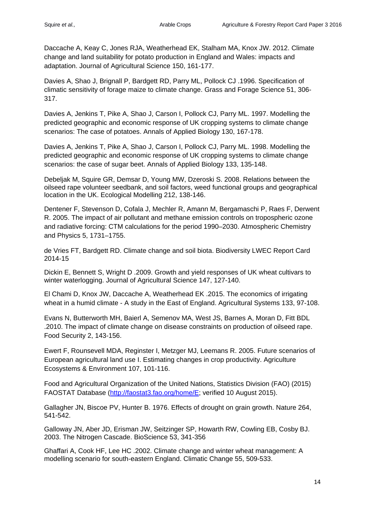Daccache A, Keay C, Jones RJA, Weatherhead EK, Stalham MA, Knox JW. 2012. Climate change and land suitability for potato production in England and Wales: impacts and adaptation. Journal of Agricultural Science 150, 161-177.

Davies A, Shao J, Brignall P, Bardgett RD, Parry ML, Pollock CJ .1996. Specification of climatic sensitivity of forage maize to climate change. Grass and Forage Science 51, 306- 317.

Davies A, Jenkins T, Pike A, Shao J, Carson I, Pollock CJ, Parry ML. 1997. Modelling the predicted geographic and economic response of UK cropping systems to climate change scenarios: The case of potatoes. Annals of Applied Biology 130, 167-178.

Davies A, Jenkins T, Pike A, Shao J, Carson I, Pollock CJ, Parry ML. 1998. Modelling the predicted geographic and economic response of UK cropping systems to climate change scenarios: the case of sugar beet. Annals of Applied Biology 133, 135-148.

Debeljak M, Squire GR, Demsar D, Young MW, Dzeroski S. 2008. Relations between the oilseed rape volunteer seedbank, and soil factors, weed functional groups and geographical location in the UK. Ecological Modelling 212, 138-146.

Dentener F, Stevenson D, Cofala J, Mechler R, Amann M, Bergamaschi P, Raes F, Derwent R. 2005. The impact of air pollutant and methane emission controls on tropospheric ozone and radiative forcing: CTM calculations for the period 1990–2030. Atmospheric Chemistry and Physics 5, 1731–1755.

de Vries FT, Bardgett RD. Climate change and soil biota. Biodiversity LWEC Report Card 2014-15

Dickin E, Bennett S, Wright D .2009. Growth and yield responses of UK wheat cultivars to winter waterlogging. Journal of Agricultural Science 147, 127-140.

El Chami D, Knox JW, Daccache A, Weatherhead EK .2015. The economics of irrigating wheat in a humid climate - A study in the East of England. Agricultural Systems 133, 97-108.

Evans N, Butterworth MH, Baierl A, Semenov MA, West JS, Barnes A, Moran D, Fitt BDL .2010. The impact of climate change on disease constraints on production of oilseed rape. Food Security 2, 143-156.

Ewert F, Rounsevell MDA, Reginster I, Metzger MJ, Leemans R. 2005. Future scenarios of European agricultural land use I. Estimating changes in crop productivity. Agriculture Ecosystems & Environment 107, 101-116.

Food and Agricultural Organization of the United Nations, Statistics Division (FAO) (2015) FAOSTAT Database [\(http://faostat3.fao.org/home/E;](http://faostat3.fao.org/home/E) verified 10 August 2015).

Gallagher JN, Biscoe PV, Hunter B. 1976. Effects of drought on grain growth. Nature 264, 541-542.

Galloway JN, Aber JD, Erisman JW, Seitzinger SP, Howarth RW, Cowling EB, Cosby BJ. 2003. The Nitrogen Cascade. BioScience 53, 341-356

Ghaffari A, Cook HF, Lee HC .2002. Climate change and winter wheat management: A modelling scenario for south-eastern England. Climatic Change 55, 509-533.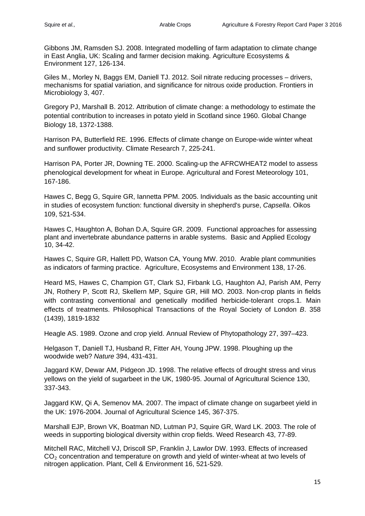Gibbons JM, Ramsden SJ. 2008. Integrated modelling of farm adaptation to climate change in East Anglia, UK: Scaling and farmer decision making. Agriculture Ecosystems & Environment 127, 126-134.

Giles M., Morley N, Baggs EM, Daniell TJ. 2012. Soil nitrate reducing processes – drivers, mechanisms for spatial variation, and significance for nitrous oxide production. Frontiers in Microbiology 3, 407.

Gregory PJ, Marshall B. 2012. Attribution of climate change: a methodology to estimate the potential contribution to increases in potato yield in Scotland since 1960. Global Change Biology 18, 1372-1388.

Harrison PA, Butterfield RE. 1996. Effects of climate change on Europe-wide winter wheat and sunflower productivity. Climate Research 7, 225-241.

Harrison PA, Porter JR, Downing TE. 2000. Scaling-up the AFRCWHEAT2 model to assess phenological development for wheat in Europe. Agricultural and Forest Meteorology 101, 167-186.

Hawes C, Begg G, Squire GR, Iannetta PPM. 2005. Individuals as the basic accounting unit in studies of ecosystem function: functional diversity in shepherd's purse, *Capsella*. Oikos 109, 521-534.

Hawes C, Haughton A, Bohan D.A, Squire GR. 2009. Functional approaches for assessing plant and invertebrate abundance patterns in arable systems. Basic and Applied Ecology 10, 34-42.

Hawes C, Squire GR, Hallett PD, Watson CA, Young MW. 2010. Arable plant communities as indicators of farming practice. Agriculture, Ecosystems and Environment 138, 17-26.

Heard MS, Hawes C, Champion GT, Clark SJ, Firbank LG, Haughton AJ, Parish AM, Perry JN, Rothery P, Scott RJ, Skellern MP, Squire GR, Hill MO. 2003. Non-crop plants in fields with contrasting conventional and genetically modified herbicide-tolerant crops.1. Main effects of treatments. Philosophical Transactions of the Royal Society of London *B*. 358 (1439), 1819-1832

Heagle AS. 1989. Ozone and crop yield. Annual Review of Phytopathology 27, 397–423.

Helgason T, Daniell TJ, Husband R, Fitter AH, Young JPW. 1998. Ploughing up the woodwide web? *Nature* 394, 431-431.

Jaggard KW, Dewar AM, Pidgeon JD. 1998. The relative effects of drought stress and virus yellows on the yield of sugarbeet in the UK, 1980-95. Journal of Agricultural Science 130, 337-343.

Jaggard KW, Qi A, Semenov MA. 2007. The impact of climate change on sugarbeet yield in the UK: 1976-2004. Journal of Agricultural Science 145, 367-375.

Marshall EJP, Brown VK, Boatman ND, Lutman PJ, Squire GR, Ward LK. 2003. The role of weeds in supporting biological diversity within crop fields. Weed Research 43, 77-89.

Mitchell RAC, Mitchell VJ, Driscoll SP, Franklin J, Lawlor DW. 1993. Effects of increased CO<sub>2</sub> concentration and temperature on growth and yield of winter-wheat at two levels of nitrogen application. Plant, Cell & Environment 16, 521-529.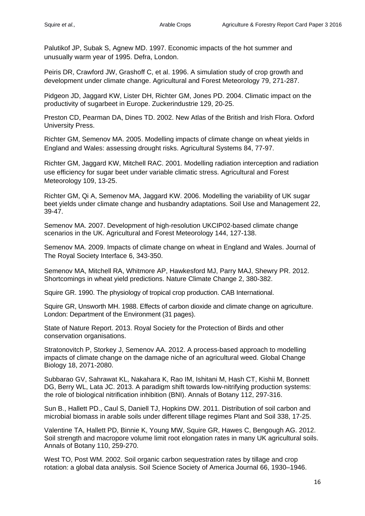Palutikof JP, Subak S, Agnew MD. 1997. Economic impacts of the hot summer and unusually warm year of 1995. Defra, London.

Peiris DR, Crawford JW, Grashoff C, et al. 1996. A simulation study of crop growth and development under climate change. Agricultural and Forest Meteorology 79, 271-287.

Pidgeon JD, Jaggard KW, Lister DH, Richter GM, Jones PD. 2004. Climatic impact on the productivity of sugarbeet in Europe. Zuckerindustrie 129, 20-25.

Preston CD, Pearman DA, Dines TD. 2002. New Atlas of the British and Irish Flora. Oxford University Press.

Richter GM, Semenov MA. 2005. Modelling impacts of climate change on wheat yields in England and Wales: assessing drought risks. Agricultural Systems 84, 77-97.

Richter GM, Jaggard KW, Mitchell RAC. 2001. Modelling radiation interception and radiation use efficiency for sugar beet under variable climatic stress. Agricultural and Forest Meteorology 109, 13-25.

Richter GM, Qi A, Semenov MA, Jaggard KW. 2006. Modelling the variability of UK sugar beet yields under climate change and husbandry adaptations. Soil Use and Management 22, 39-47.

Semenov MA. 2007. Development of high-resolution UKCIP02-based climate change scenarios in the UK. Agricultural and Forest Meteorology 144, 127-138.

Semenov MA. 2009. Impacts of climate change on wheat in England and Wales. Journal of The Royal Society Interface 6, 343-350.

Semenov MA, Mitchell RA, Whitmore AP, Hawkesford MJ, Parry MAJ, Shewry PR. 2012. Shortcomings in wheat yield predictions. Nature Climate Change 2, 380-382.

Squire GR. 1990. The physiology of tropical crop production. CAB International.

Squire GR, Unsworth MH. 1988. Effects of carbon dioxide and climate change on agriculture. London: Department of the Environment (31 pages).

State of Nature Report. 2013. Royal Society for the Protection of Birds and other conservation organisations.

Stratonovitch P, Storkey J, Semenov AA. 2012. A process-based approach to modelling impacts of climate change on the damage niche of an agricultural weed. Global Change Biology 18, 2071-2080.

Subbarao GV, Sahrawat KL, Nakahara K, Rao IM, Ishitani M, Hash CT, Kishii M, Bonnett DG, Berry WL, Lata JC. 2013. A paradigm shift towards low-nitrifying production systems: the role of biological nitrification inhibition (BNI). Annals of Botany 112, 297-316.

Sun B., Hallett PD., Caul S, Daniell TJ, Hopkins DW. 2011. Distribution of soil carbon and microbial biomass in arable soils under different tillage regimes Plant and Soil 338, 17-25.

Valentine TA, Hallett PD, Binnie K, Young MW, Squire GR, Hawes C, Bengough AG. 2012. Soil strength and macropore volume limit root elongation rates in many UK agricultural soils. Annals of Botany 110, 259-270.

West TO, Post WM, 2002. Soil organic carbon sequestration rates by tillage and crop rotation: a global data analysis. Soil Science Society of America Journal 66, 1930–1946.